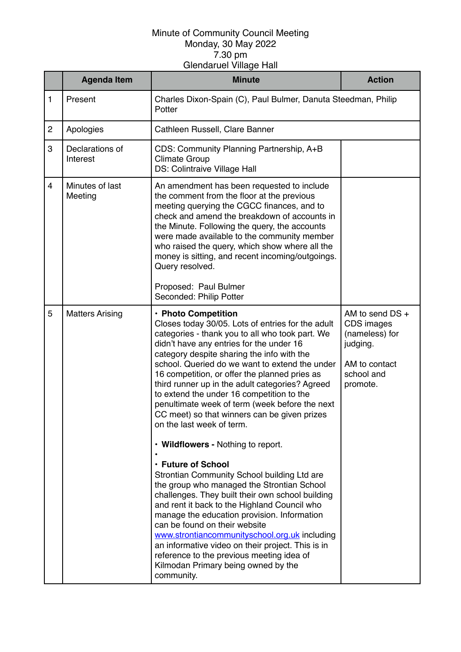|                | <b>Agenda Item</b>          | <b>Minute</b>                                                                                                                                                                                                                                                                                                                                                                                                                                                                                                                                                                                                                                                                                                                                                                                                                                                                                                                                                                                                                                                                                                | <b>Action</b>                                                                                          |
|----------------|-----------------------------|--------------------------------------------------------------------------------------------------------------------------------------------------------------------------------------------------------------------------------------------------------------------------------------------------------------------------------------------------------------------------------------------------------------------------------------------------------------------------------------------------------------------------------------------------------------------------------------------------------------------------------------------------------------------------------------------------------------------------------------------------------------------------------------------------------------------------------------------------------------------------------------------------------------------------------------------------------------------------------------------------------------------------------------------------------------------------------------------------------------|--------------------------------------------------------------------------------------------------------|
| $\mathbf{1}$   | Present                     | Charles Dixon-Spain (C), Paul Bulmer, Danuta Steedman, Philip<br>Potter                                                                                                                                                                                                                                                                                                                                                                                                                                                                                                                                                                                                                                                                                                                                                                                                                                                                                                                                                                                                                                      |                                                                                                        |
| $\overline{2}$ | Apologies                   | Cathleen Russell, Clare Banner                                                                                                                                                                                                                                                                                                                                                                                                                                                                                                                                                                                                                                                                                                                                                                                                                                                                                                                                                                                                                                                                               |                                                                                                        |
| 3              | Declarations of<br>Interest | CDS: Community Planning Partnership, A+B<br><b>Climate Group</b><br>DS: Colintraive Village Hall                                                                                                                                                                                                                                                                                                                                                                                                                                                                                                                                                                                                                                                                                                                                                                                                                                                                                                                                                                                                             |                                                                                                        |
| 4              | Minutes of last<br>Meeting  | An amendment has been requested to include<br>the comment from the floor at the previous<br>meeting querying the CGCC finances, and to<br>check and amend the breakdown of accounts in<br>the Minute. Following the query, the accounts<br>were made available to the community member<br>who raised the query, which show where all the<br>money is sitting, and recent incoming/outgoings.<br>Query resolved.<br>Proposed: Paul Bulmer<br>Seconded: Philip Potter                                                                                                                                                                                                                                                                                                                                                                                                                                                                                                                                                                                                                                          |                                                                                                        |
| 5              | <b>Matters Arising</b>      | · Photo Competition<br>Closes today 30/05. Lots of entries for the adult<br>categories - thank you to all who took part. We<br>didn't have any entries for the under 16<br>category despite sharing the info with the<br>school. Queried do we want to extend the under<br>16 competition, or offer the planned pries as<br>third runner up in the adult categories? Agreed<br>to extend the under 16 competition to the<br>penultimate week of term (week before the next<br>CC meet) so that winners can be given prizes<br>on the last week of term.<br>• Wildflowers - Nothing to report.<br>· Future of School<br>Strontian Community School building Ltd are<br>the group who managed the Strontian School<br>challenges. They built their own school building<br>and rent it back to the Highland Council who<br>manage the education provision. Information<br>can be found on their website<br>www.strontiancommunityschool.org.uk including<br>an informative video on their project. This is in<br>reference to the previous meeting idea of<br>Kilmodan Primary being owned by the<br>community. | AM to send DS +<br>CDS images<br>(nameless) for<br>judging.<br>AM to contact<br>school and<br>promote. |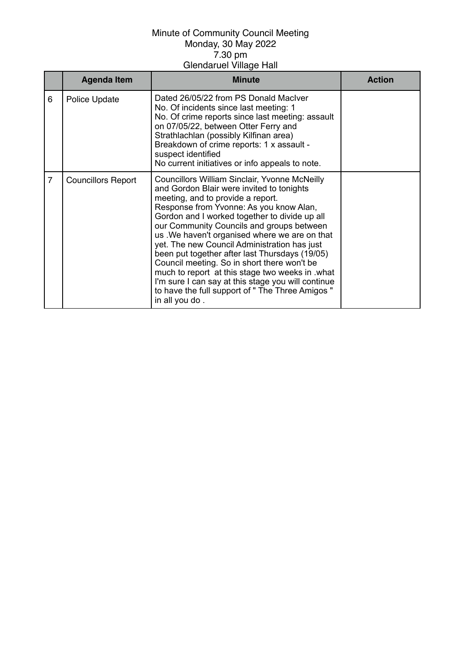|                | <b>Agenda Item</b>        | Minute                                                                                                                                                                                                                                                                                                                                                                                                                                                                                                                                                                                                                                                            | <b>Action</b> |
|----------------|---------------------------|-------------------------------------------------------------------------------------------------------------------------------------------------------------------------------------------------------------------------------------------------------------------------------------------------------------------------------------------------------------------------------------------------------------------------------------------------------------------------------------------------------------------------------------------------------------------------------------------------------------------------------------------------------------------|---------------|
| 6              | Police Update             | Dated 26/05/22 from PS Donald MacIver<br>No. Of incidents since last meeting: 1<br>No. Of crime reports since last meeting: assault<br>on 07/05/22, between Otter Ferry and<br>Strathlachlan (possibly Kilfinan area)<br>Breakdown of crime reports: 1 x assault -<br>suspect identified<br>No current initiatives or info appeals to note.                                                                                                                                                                                                                                                                                                                       |               |
| $\overline{7}$ | <b>Councillors Report</b> | <b>Councillors William Sinclair, Yvonne McNeilly</b><br>and Gordon Blair were invited to tonights<br>meeting, and to provide a report.<br>Response from Yvonne: As you know Alan,<br>Gordon and I worked together to divide up all<br>our Community Councils and groups between<br>us . We haven't organised where we are on that<br>yet. The new Council Administration has just<br>been put together after last Thursdays (19/05)<br>Council meeting. So in short there won't be<br>much to report at this stage two weeks in .what<br>I'm sure I can say at this stage you will continue<br>to have the full support of " The Three Amigos "<br>in all you do. |               |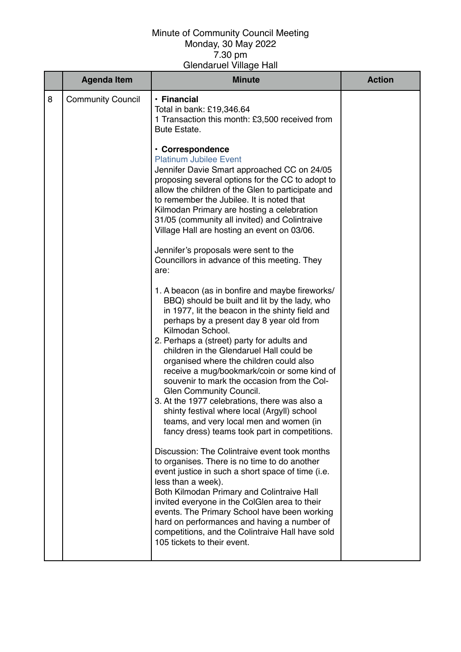|   | <b>Agenda Item</b>       | <b>Minute</b>                                                                                                                                                                                                                                                                                                                                                                                                                                             | <b>Action</b> |
|---|--------------------------|-----------------------------------------------------------------------------------------------------------------------------------------------------------------------------------------------------------------------------------------------------------------------------------------------------------------------------------------------------------------------------------------------------------------------------------------------------------|---------------|
| 8 | <b>Community Council</b> | $\cdot$ Financial<br>Total in bank: £19,346.64<br>1 Transaction this month: £3,500 received from<br><b>Bute Estate.</b>                                                                                                                                                                                                                                                                                                                                   |               |
|   |                          | · Correspondence<br><b>Platinum Jubilee Event</b><br>Jennifer Davie Smart approached CC on 24/05<br>proposing several options for the CC to adopt to<br>allow the children of the Glen to participate and<br>to remember the Jubilee. It is noted that<br>Kilmodan Primary are hosting a celebration<br>31/05 (community all invited) and Colintraive<br>Village Hall are hosting an event on 03/06.                                                      |               |
|   |                          | Jennifer's proposals were sent to the<br>Councillors in advance of this meeting. They<br>are:                                                                                                                                                                                                                                                                                                                                                             |               |
|   |                          | 1. A beacon (as in bonfire and maybe fireworks/<br>BBQ) should be built and lit by the lady, who<br>in 1977, lit the beacon in the shinty field and<br>perhaps by a present day 8 year old from<br>Kilmodan School.<br>2. Perhaps a (street) party for adults and<br>children in the Glendaruel Hall could be<br>organised where the children could also<br>receive a mug/bookmark/coin or some kind of<br>souvenir to mark the occasion from the Col-    |               |
|   |                          | Glen Community Council.<br>3. At the 1977 celebrations, there was also a<br>shinty festival where local (Argyll) school<br>teams, and very local men and women (in<br>fancy dress) teams took part in competitions.                                                                                                                                                                                                                                       |               |
|   |                          | Discussion: The Colintraive event took months<br>to organises. There is no time to do another<br>event justice in such a short space of time (i.e.<br>less than a week).<br>Both Kilmodan Primary and Colintraive Hall<br>invited everyone in the ColGlen area to their<br>events. The Primary School have been working<br>hard on performances and having a number of<br>competitions, and the Colintraive Hall have sold<br>105 tickets to their event. |               |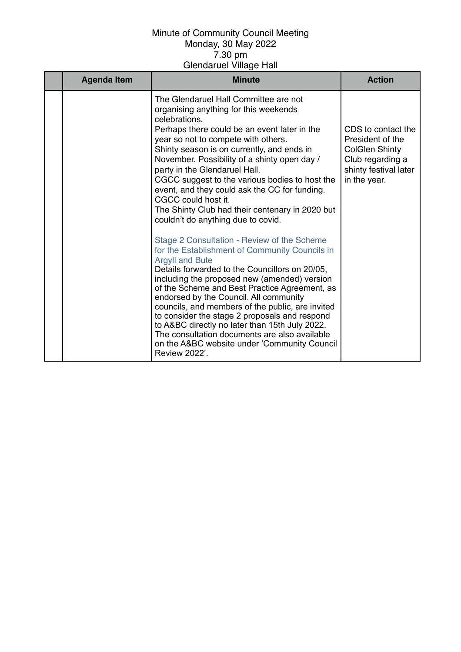| <b>Agenda Item</b> | <b>Minute</b>                                                                                                                                                                                                                                                                                                                                                                                                                                                                                                                                                                                                                             | <b>Action</b>                                                                                                                |
|--------------------|-------------------------------------------------------------------------------------------------------------------------------------------------------------------------------------------------------------------------------------------------------------------------------------------------------------------------------------------------------------------------------------------------------------------------------------------------------------------------------------------------------------------------------------------------------------------------------------------------------------------------------------------|------------------------------------------------------------------------------------------------------------------------------|
|                    | The Glendaruel Hall Committee are not<br>organising anything for this weekends<br>celebrations.<br>Perhaps there could be an event later in the<br>year so not to compete with others.<br>Shinty season is on currently, and ends in<br>November. Possibility of a shinty open day /<br>party in the Glendaruel Hall.<br>CGCC suggest to the various bodies to host the<br>event, and they could ask the CC for funding.<br>CGCC could host it.<br>The Shinty Club had their centenary in 2020 but<br>couldn't do anything due to covid.<br>Stage 2 Consultation - Review of the Scheme<br>for the Establishment of Community Councils in | CDS to contact the<br>President of the<br><b>ColGlen Shinty</b><br>Club regarding a<br>shinty festival later<br>in the year. |
|                    | <b>Argyll and Bute</b><br>Details forwarded to the Councillors on 20/05,<br>including the proposed new (amended) version<br>of the Scheme and Best Practice Agreement, as<br>endorsed by the Council. All community<br>councils, and members of the public, are invited<br>to consider the stage 2 proposals and respond<br>to A&BC directly no later than 15th July 2022.<br>The consultation documents are also available<br>on the A&BC website under 'Community Council<br><b>Review 2022'.</b>                                                                                                                                       |                                                                                                                              |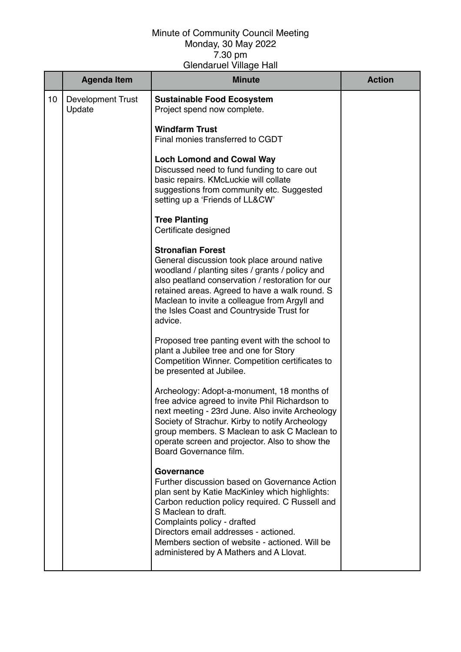|    | <b>Agenda Item</b>                 | <b>Minute</b>                                                                                                                                                                                                                                                                                                                                                | <b>Action</b> |
|----|------------------------------------|--------------------------------------------------------------------------------------------------------------------------------------------------------------------------------------------------------------------------------------------------------------------------------------------------------------------------------------------------------------|---------------|
| 10 | <b>Development Trust</b><br>Update | <b>Sustainable Food Ecosystem</b><br>Project spend now complete.                                                                                                                                                                                                                                                                                             |               |
|    |                                    | <b>Windfarm Trust</b><br>Final monies transferred to CGDT                                                                                                                                                                                                                                                                                                    |               |
|    |                                    | <b>Loch Lomond and Cowal Way</b><br>Discussed need to fund funding to care out<br>basic repairs. KMcLuckie will collate<br>suggestions from community etc. Suggested<br>setting up a 'Friends of LL&CW'                                                                                                                                                      |               |
|    |                                    | <b>Tree Planting</b><br>Certificate designed                                                                                                                                                                                                                                                                                                                 |               |
|    |                                    | <b>Stronafian Forest</b><br>General discussion took place around native<br>woodland / planting sites / grants / policy and<br>also peatland conservation / restoration for our<br>retained areas. Agreed to have a walk round. S<br>Maclean to invite a colleague from Argyll and<br>the Isles Coast and Countryside Trust for<br>advice.                    |               |
|    |                                    | Proposed tree panting event with the school to<br>plant a Jubilee tree and one for Story<br>Competition Winner. Competition certificates to<br>be presented at Jubilee.                                                                                                                                                                                      |               |
|    |                                    | Archeology: Adopt-a-monument, 18 months of<br>free advice agreed to invite Phil Richardson to<br>next meeting - 23rd June. Also invite Archeology<br>Society of Strachur. Kirby to notify Archeology<br>group members. S Maclean to ask C Maclean to<br>operate screen and projector. Also to show the<br>Board Governance film.                             |               |
|    |                                    | Governance<br>Further discussion based on Governance Action<br>plan sent by Katie MacKinley which highlights:<br>Carbon reduction policy required. C Russell and<br>S Maclean to draft.<br>Complaints policy - drafted<br>Directors email addresses - actioned.<br>Members section of website - actioned. Will be<br>administered by A Mathers and A Llovat. |               |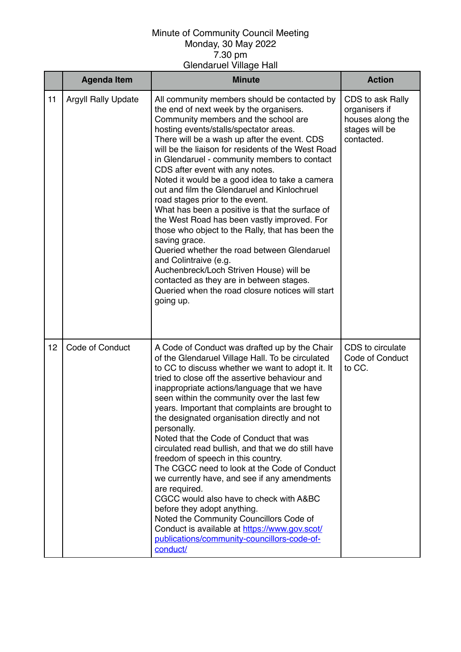|    | <b>Agenda Item</b>         | <b>Minute</b>                                                                                                                                                                                                                                                                                                                                                                                                                                                                                                                                                                                                                                                                                                                                                                                                                                                                                                    | <b>Action</b>                                                                         |
|----|----------------------------|------------------------------------------------------------------------------------------------------------------------------------------------------------------------------------------------------------------------------------------------------------------------------------------------------------------------------------------------------------------------------------------------------------------------------------------------------------------------------------------------------------------------------------------------------------------------------------------------------------------------------------------------------------------------------------------------------------------------------------------------------------------------------------------------------------------------------------------------------------------------------------------------------------------|---------------------------------------------------------------------------------------|
| 11 | <b>Argyll Rally Update</b> | All community members should be contacted by<br>the end of next week by the organisers.<br>Community members and the school are<br>hosting events/stalls/spectator areas.<br>There will be a wash up after the event. CDS<br>will be the liaison for residents of the West Road<br>in Glendaruel - community members to contact<br>CDS after event with any notes.<br>Noted it would be a good idea to take a camera<br>out and film the Glendaruel and Kinlochruel<br>road stages prior to the event.<br>What has been a positive is that the surface of<br>the West Road has been vastly improved. For<br>those who object to the Rally, that has been the<br>saving grace.<br>Queried whether the road between Glendaruel<br>and Colintraive (e.g.<br>Auchenbreck/Loch Striven House) will be<br>contacted as they are in between stages.<br>Queried when the road closure notices will start<br>going up.    | CDS to ask Rally<br>organisers if<br>houses along the<br>stages will be<br>contacted. |
| 12 | <b>Code of Conduct</b>     | A Code of Conduct was drafted up by the Chair<br>of the Glendaruel Village Hall. To be circulated<br>to CC to discuss whether we want to adopt it. It<br>tried to close off the assertive behaviour and<br>inappropriate actions/language that we have<br>seen within the community over the last few<br>years. Important that complaints are brought to<br>the designated organisation directly and not<br>personally.<br>Noted that the Code of Conduct that was<br>circulated read bullish, and that we do still have<br>freedom of speech in this country.<br>The CGCC need to look at the Code of Conduct<br>we currently have, and see if any amendments<br>are required.<br>CGCC would also have to check with A&BC<br>before they adopt anything.<br>Noted the Community Councillors Code of<br>Conduct is available at https://www.gov.scot/<br>publications/community-councillors-code-of-<br>conduct/ | CDS to circulate<br>Code of Conduct<br>to CC.                                         |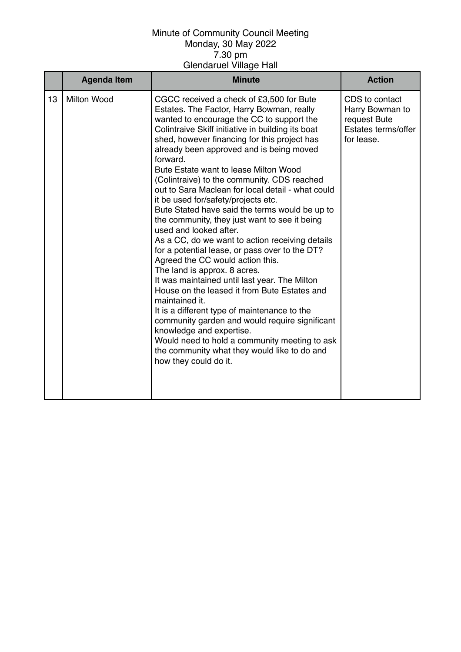|    | <b>Agenda Item</b> | <b>Minute</b>                                                                                                                                                                                                                                                                                                                                                                                                                                                                                                                                                                                                                                                                                                                                                                                                                                                                                                                                                                                                                                                                                                                                                        | <b>Action</b>                                                                          |
|----|--------------------|----------------------------------------------------------------------------------------------------------------------------------------------------------------------------------------------------------------------------------------------------------------------------------------------------------------------------------------------------------------------------------------------------------------------------------------------------------------------------------------------------------------------------------------------------------------------------------------------------------------------------------------------------------------------------------------------------------------------------------------------------------------------------------------------------------------------------------------------------------------------------------------------------------------------------------------------------------------------------------------------------------------------------------------------------------------------------------------------------------------------------------------------------------------------|----------------------------------------------------------------------------------------|
| 13 | <b>Milton Wood</b> | CGCC received a check of £3,500 for Bute<br>Estates. The Factor, Harry Bowman, really<br>wanted to encourage the CC to support the<br>Colintraive Skiff initiative in building its boat<br>shed, however financing for this project has<br>already been approved and is being moved<br>forward.<br>Bute Estate want to lease Milton Wood<br>(Colintraive) to the community. CDS reached<br>out to Sara Maclean for local detail - what could<br>it be used for/safety/projects etc.<br>Bute Stated have said the terms would be up to<br>the community, they just want to see it being<br>used and looked after.<br>As a CC, do we want to action receiving details<br>for a potential lease, or pass over to the DT?<br>Agreed the CC would action this.<br>The land is approx. 8 acres.<br>It was maintained until last year. The Milton<br>House on the leased it from Bute Estates and<br>maintained it.<br>It is a different type of maintenance to the<br>community garden and would require significant<br>knowledge and expertise.<br>Would need to hold a community meeting to ask<br>the community what they would like to do and<br>how they could do it. | CDS to contact<br>Harry Bowman to<br>request Bute<br>Estates terms/offer<br>for lease. |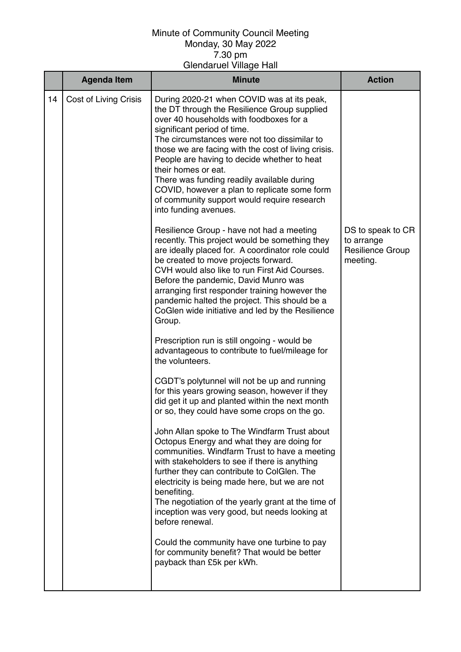|    | <b>Agenda Item</b>    | <b>Minute</b>                                                                                                                                                                                                                                                                                                                                                                                                                                                                                                           | <b>Action</b>                                                   |
|----|-----------------------|-------------------------------------------------------------------------------------------------------------------------------------------------------------------------------------------------------------------------------------------------------------------------------------------------------------------------------------------------------------------------------------------------------------------------------------------------------------------------------------------------------------------------|-----------------------------------------------------------------|
| 14 | Cost of Living Crisis | During 2020-21 when COVID was at its peak,<br>the DT through the Resilience Group supplied<br>over 40 households with foodboxes for a<br>significant period of time.<br>The circumstances were not too dissimilar to<br>those we are facing with the cost of living crisis.<br>People are having to decide whether to heat<br>their homes or eat.<br>There was funding readily available during<br>COVID, however a plan to replicate some form<br>of community support would require research<br>into funding avenues. |                                                                 |
|    |                       | Resilience Group - have not had a meeting<br>recently. This project would be something they<br>are ideally placed for. A coordinator role could<br>be created to move projects forward.<br>CVH would also like to run First Aid Courses.<br>Before the pandemic, David Munro was<br>arranging first responder training however the<br>pandemic halted the project. This should be a<br>CoGlen wide initiative and led by the Resilience<br>Group.                                                                       | DS to speak to CR<br>to arrange<br>Resilience Group<br>meeting. |
|    |                       | Prescription run is still ongoing - would be<br>advantageous to contribute to fuel/mileage for<br>the volunteers.                                                                                                                                                                                                                                                                                                                                                                                                       |                                                                 |
|    |                       | CGDT's polytunnel will not be up and running<br>for this years growing season, however if they<br>did get it up and planted within the next month<br>or so, they could have some crops on the go.                                                                                                                                                                                                                                                                                                                       |                                                                 |
|    |                       | John Allan spoke to The Windfarm Trust about<br>Octopus Energy and what they are doing for<br>communities. Windfarm Trust to have a meeting<br>with stakeholders to see if there is anything<br>further they can contribute to ColGlen. The<br>electricity is being made here, but we are not<br>benefiting.<br>The negotiation of the yearly grant at the time of<br>inception was very good, but needs looking at<br>before renewal.                                                                                  |                                                                 |
|    |                       | Could the community have one turbine to pay<br>for community benefit? That would be better<br>payback than £5k per kWh.                                                                                                                                                                                                                                                                                                                                                                                                 |                                                                 |